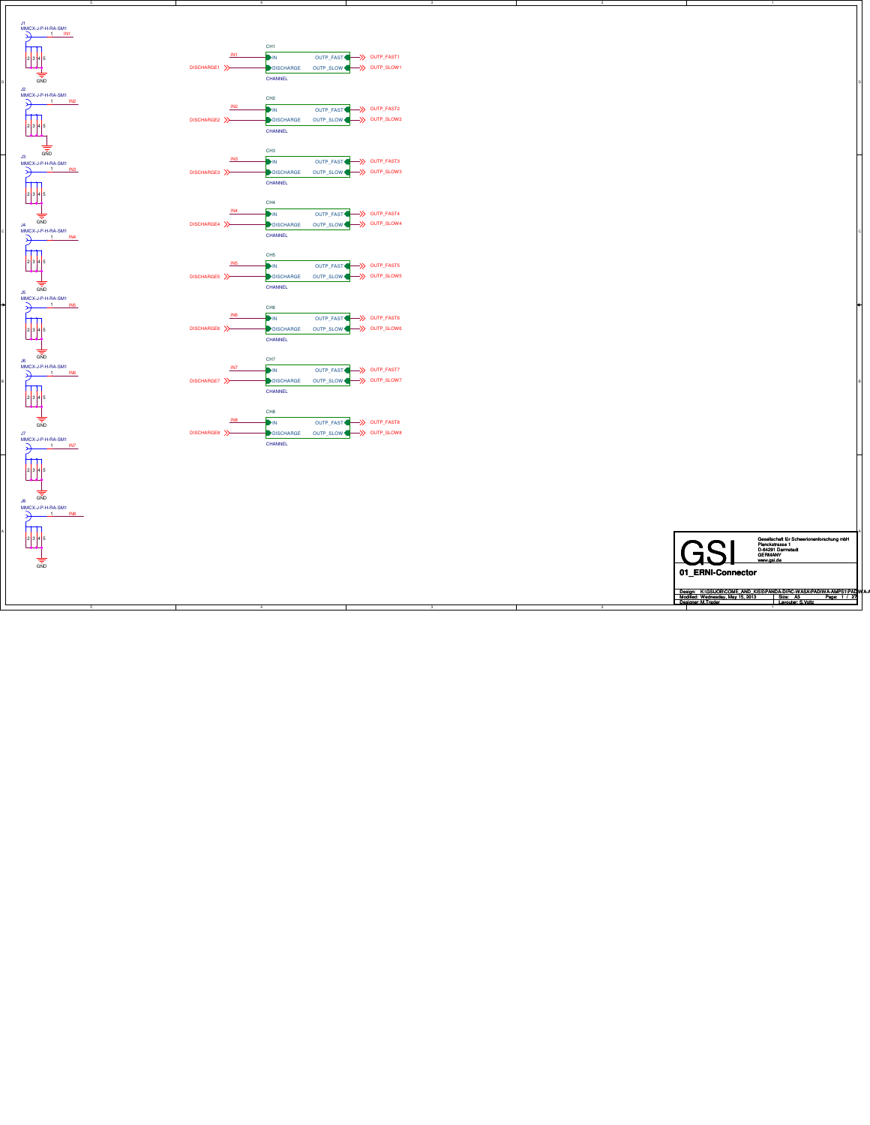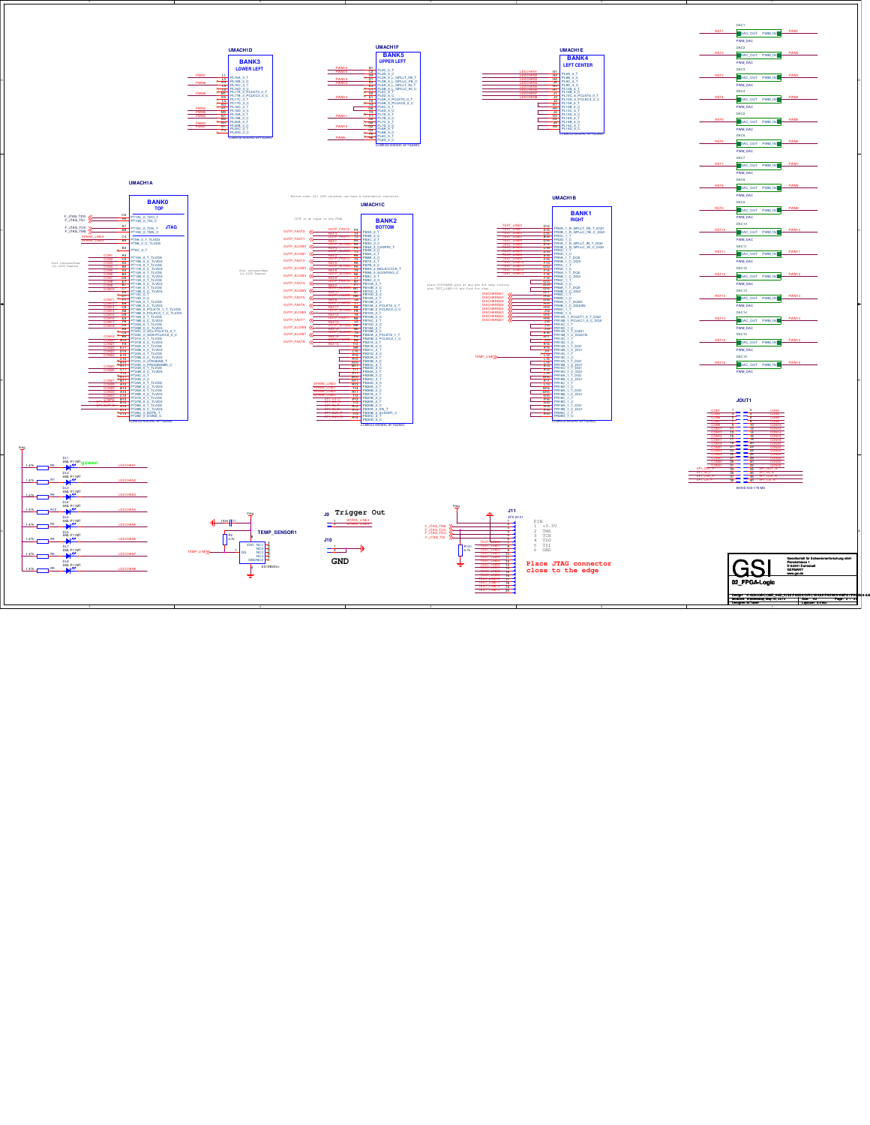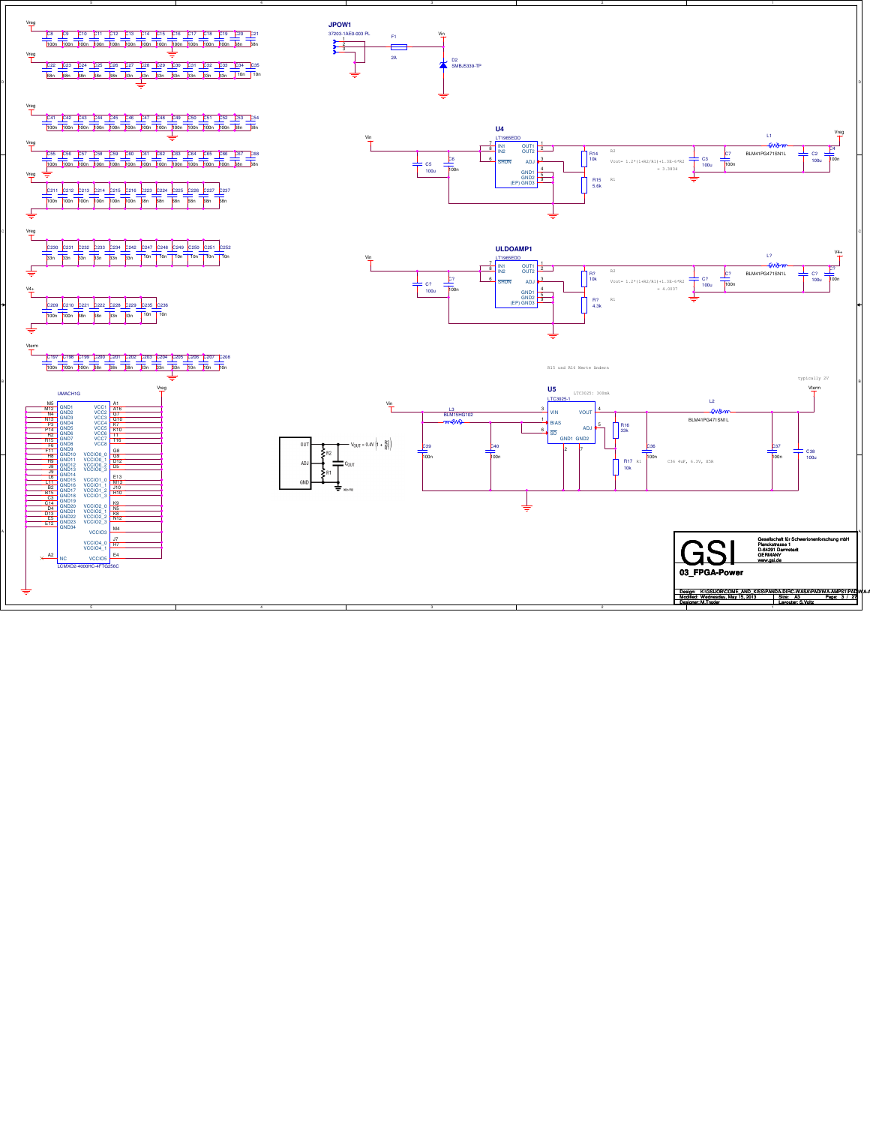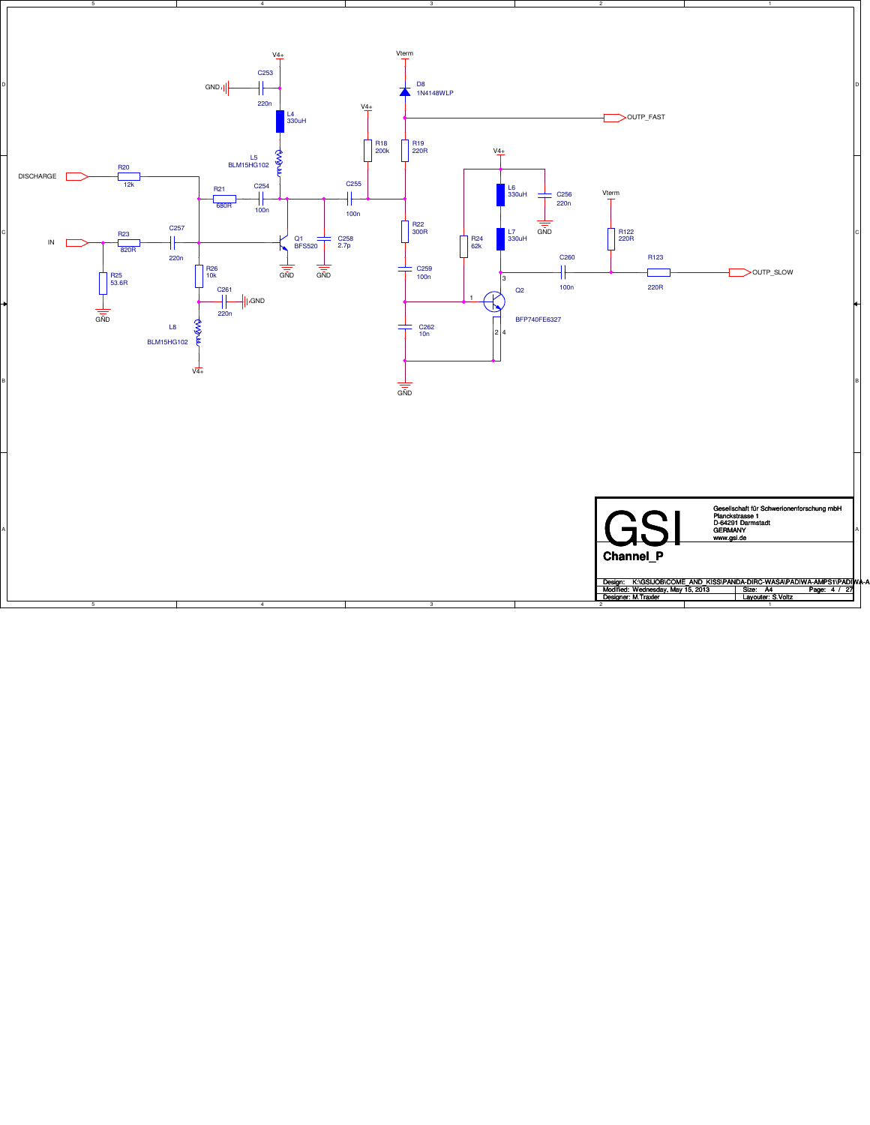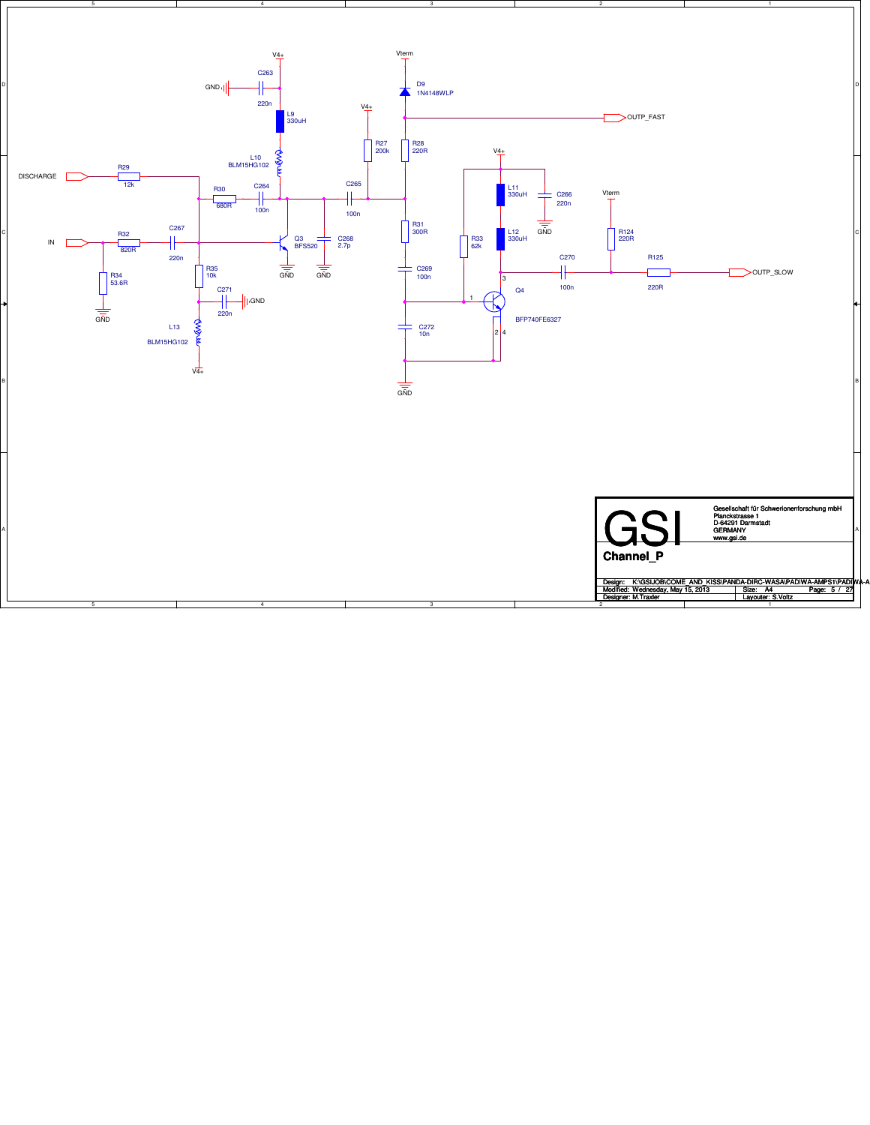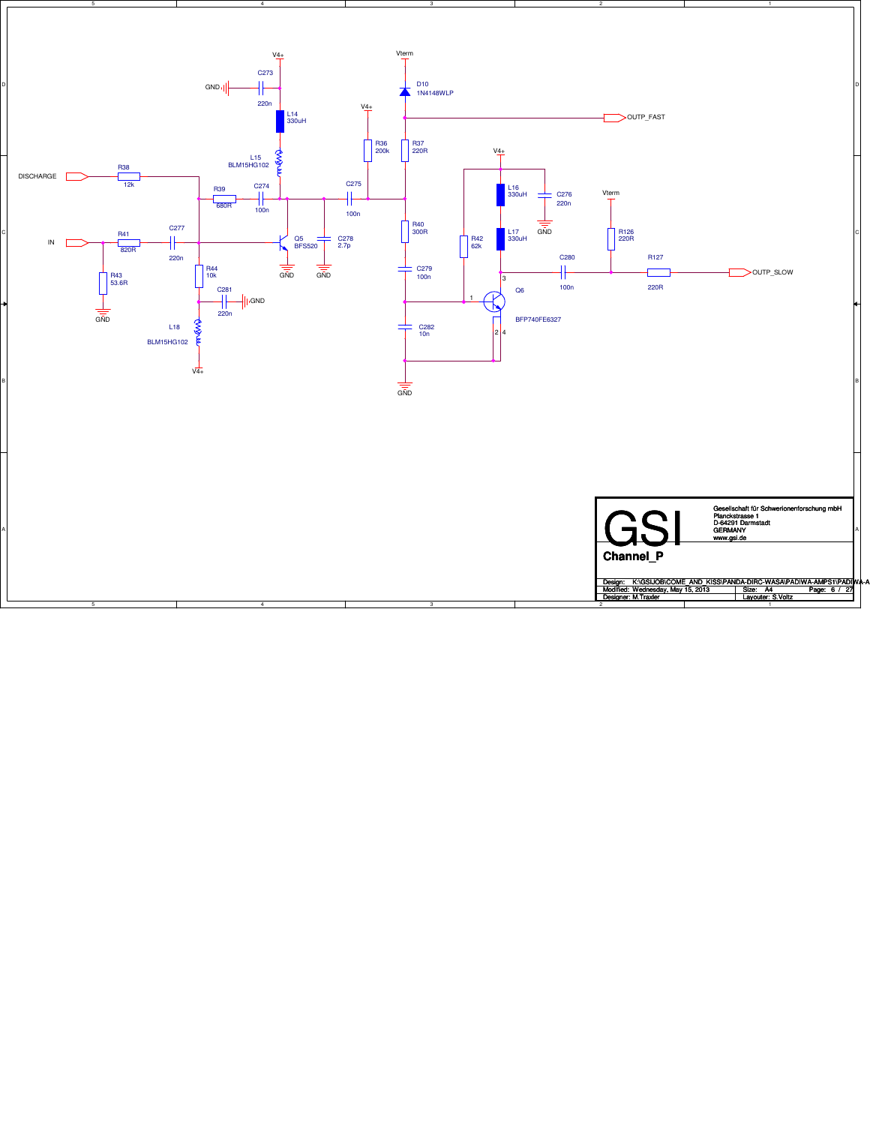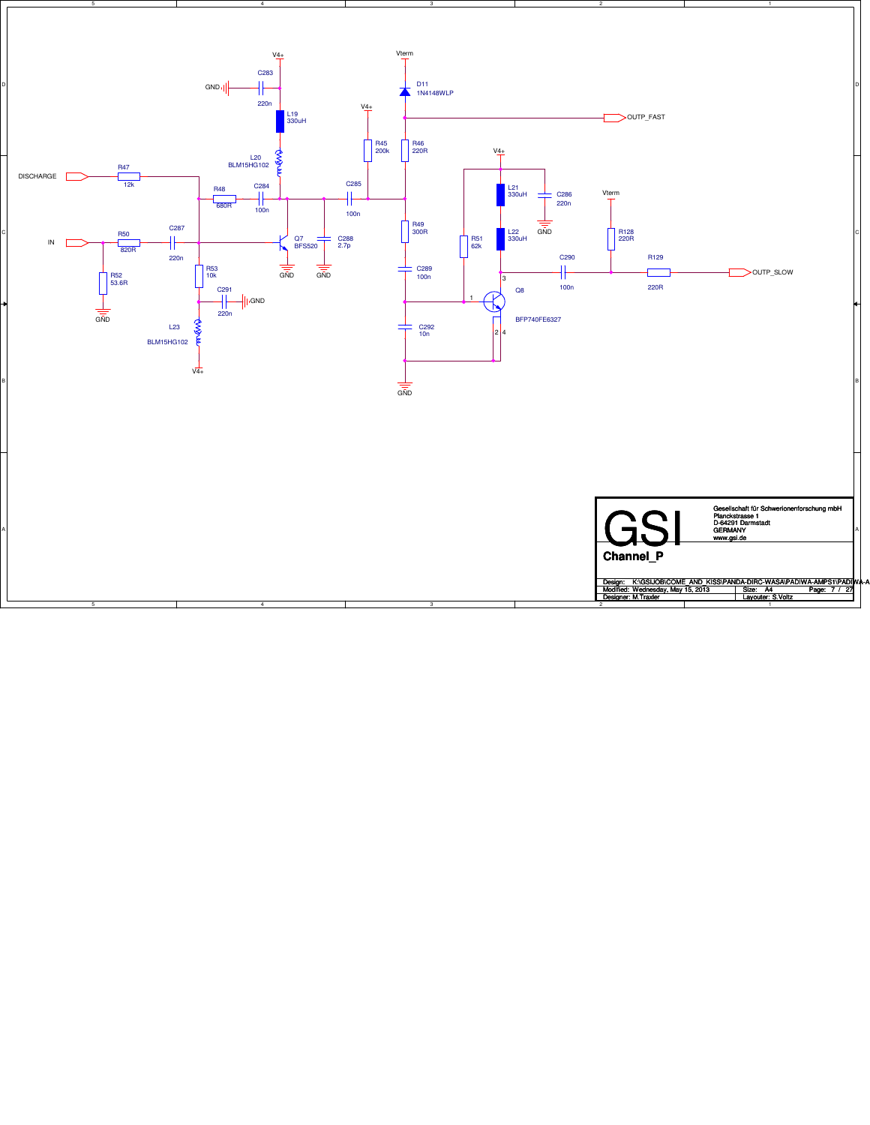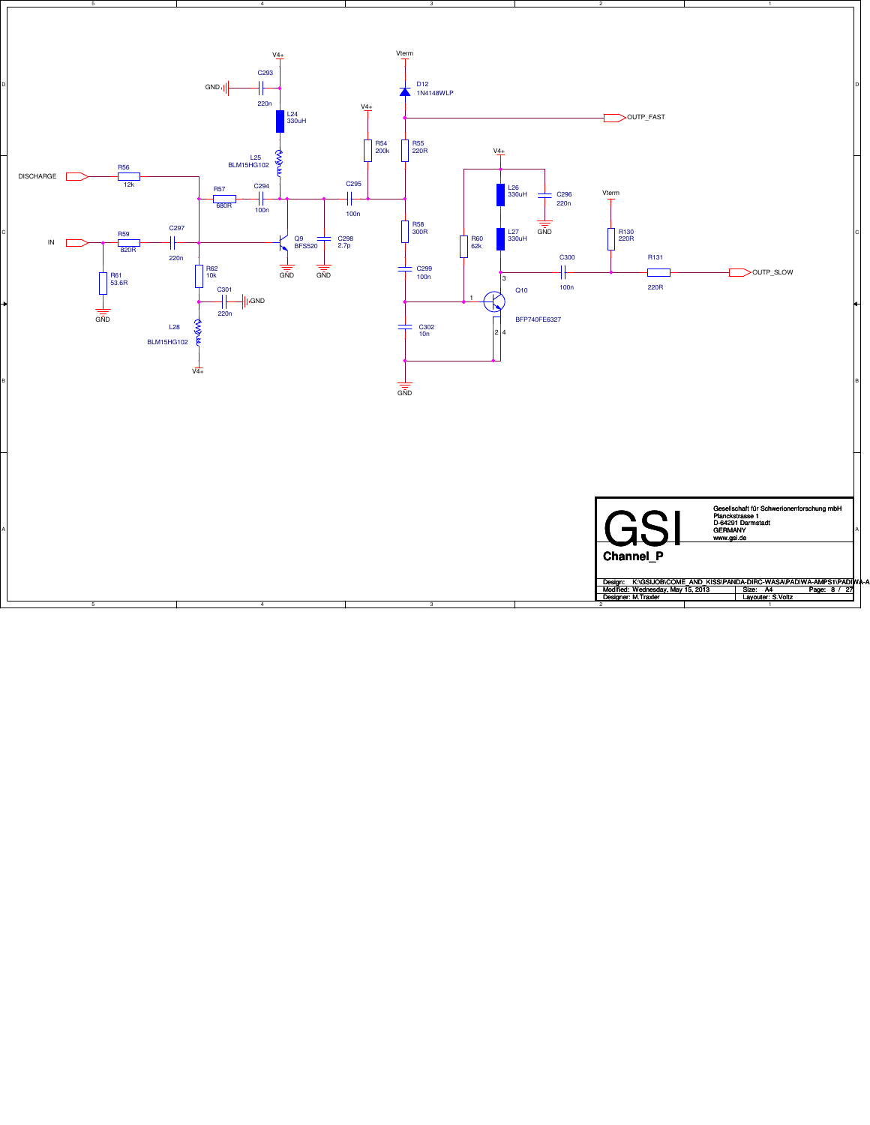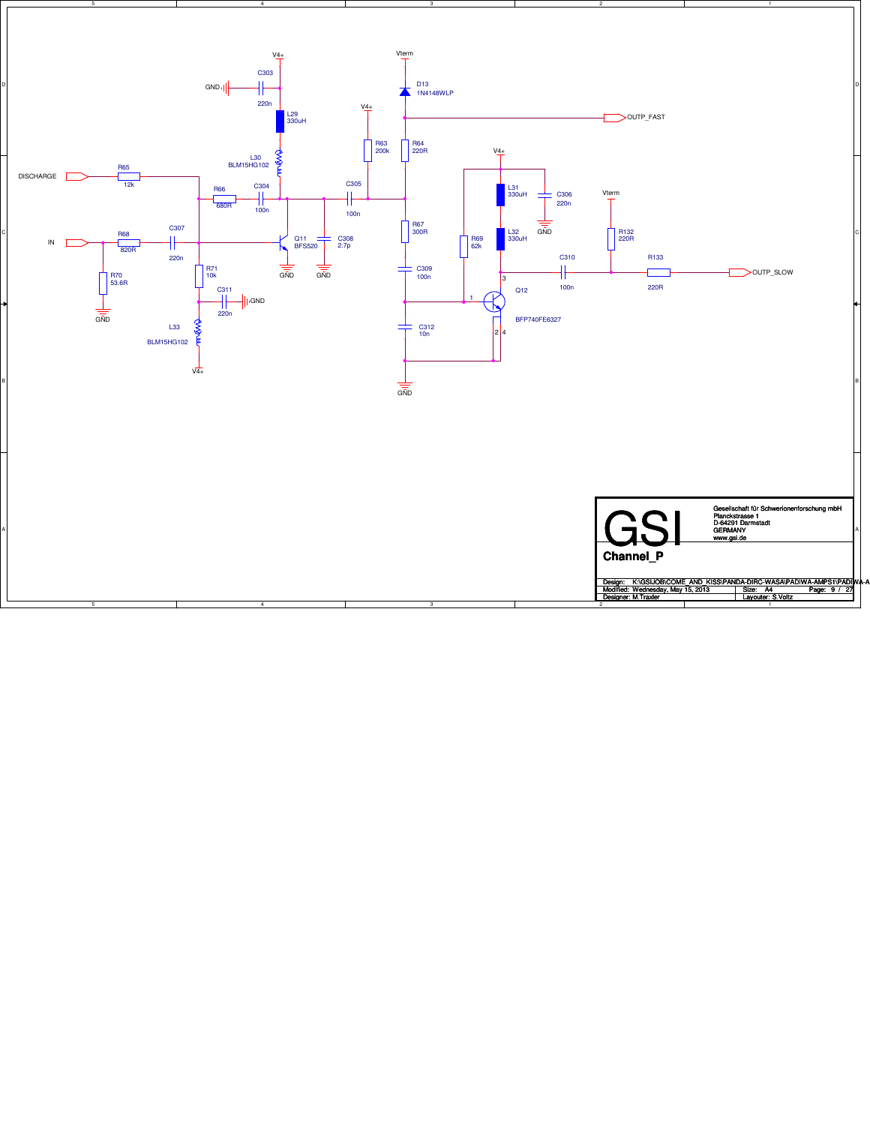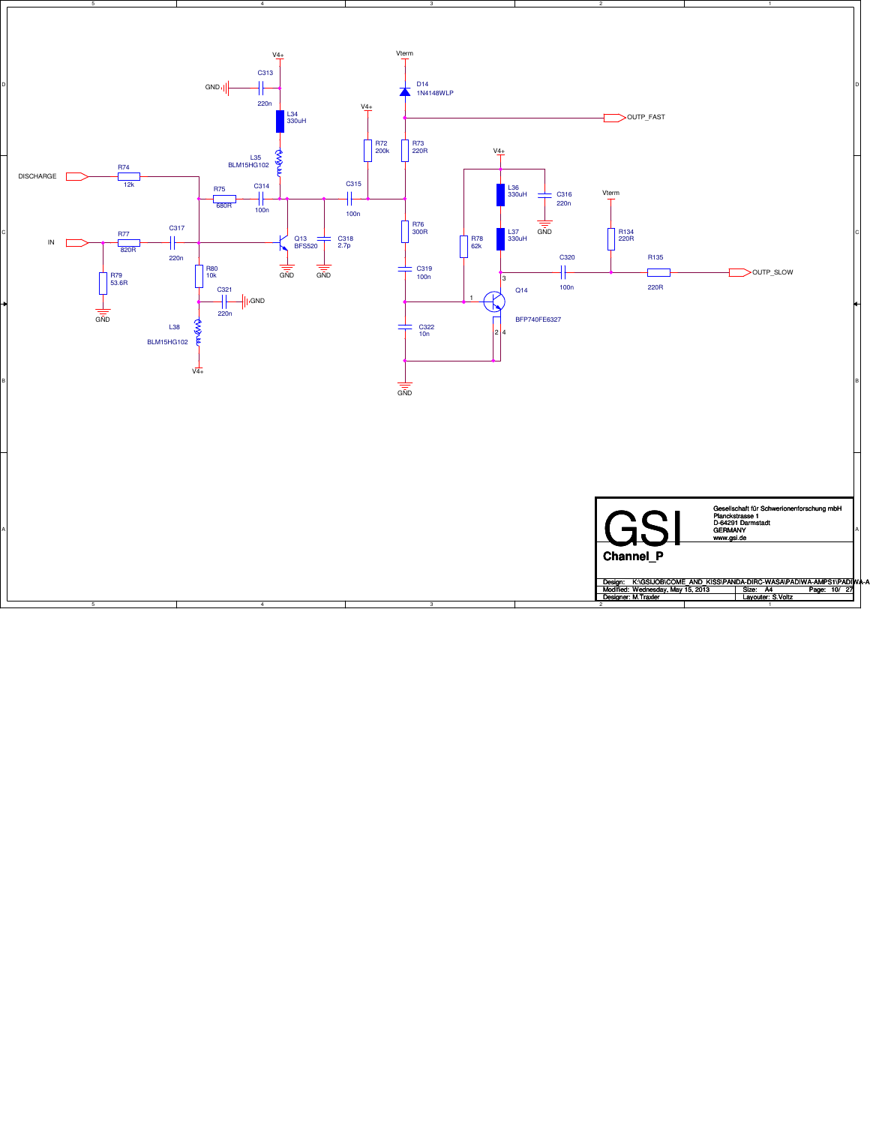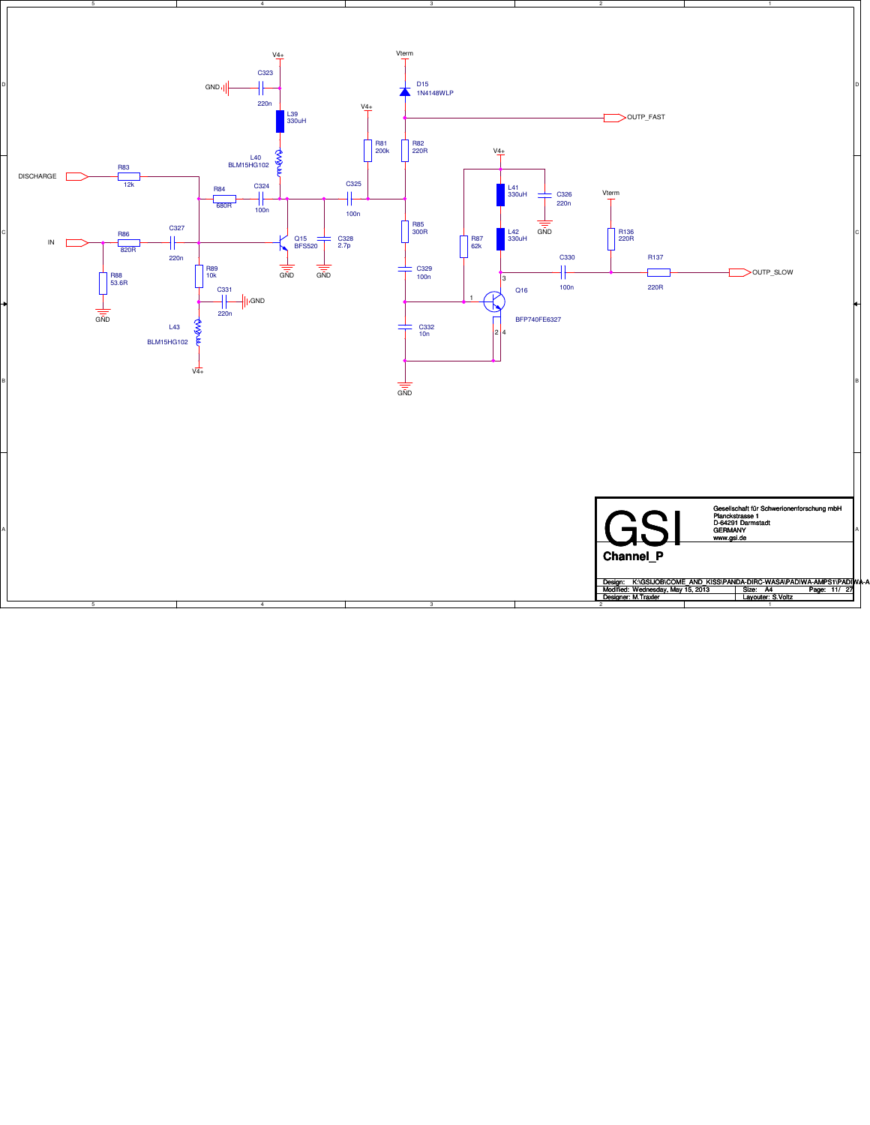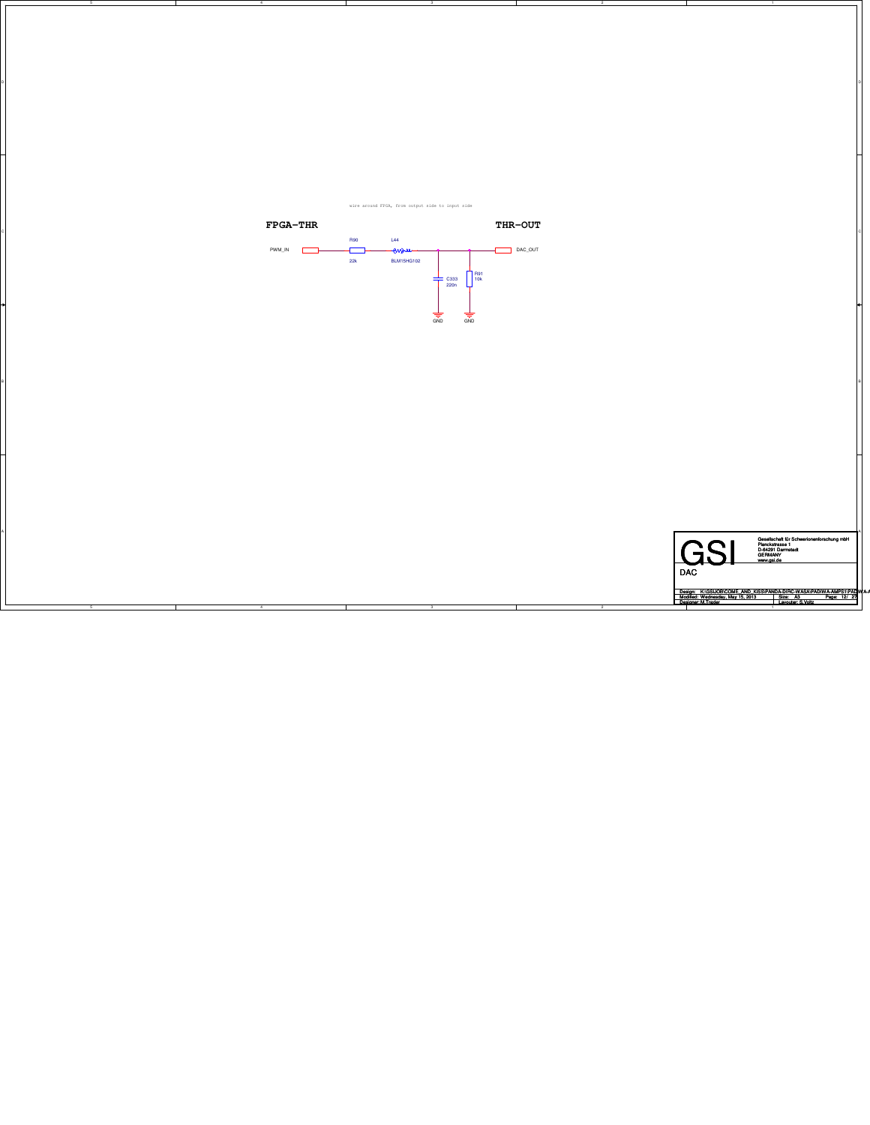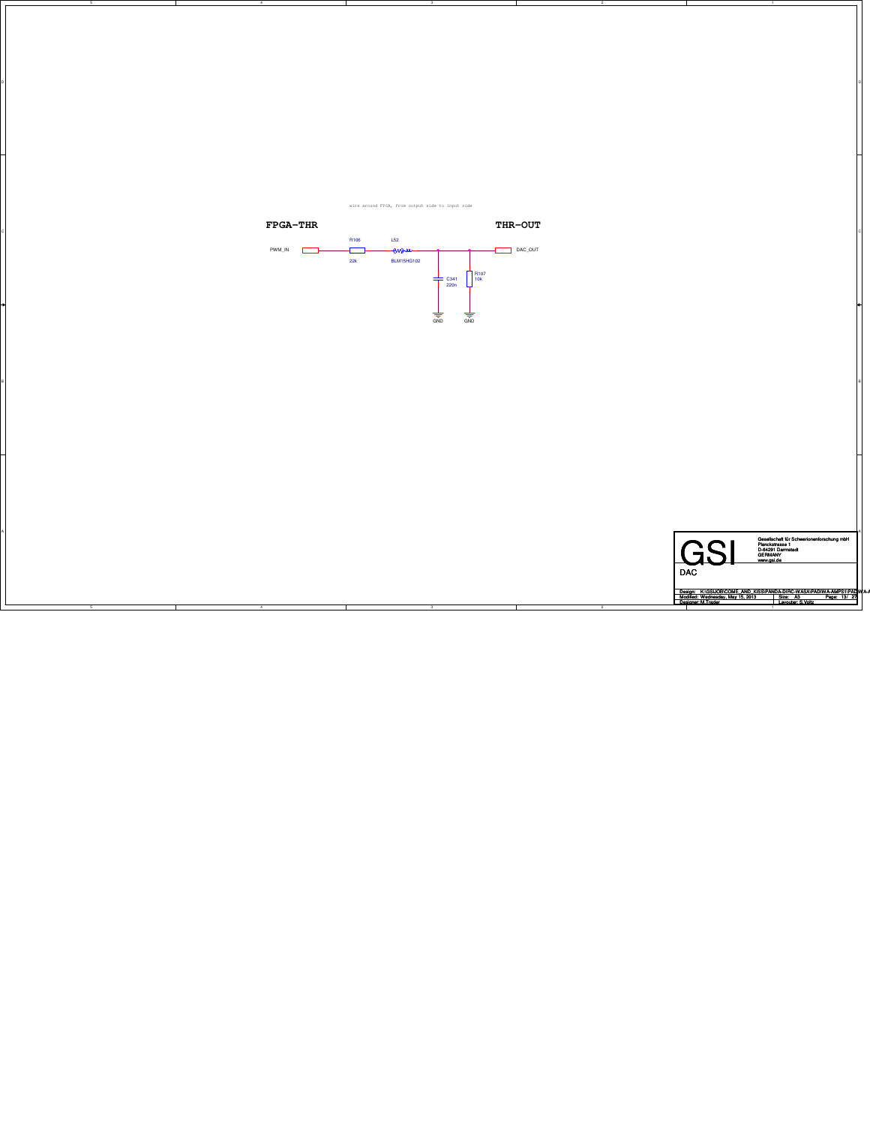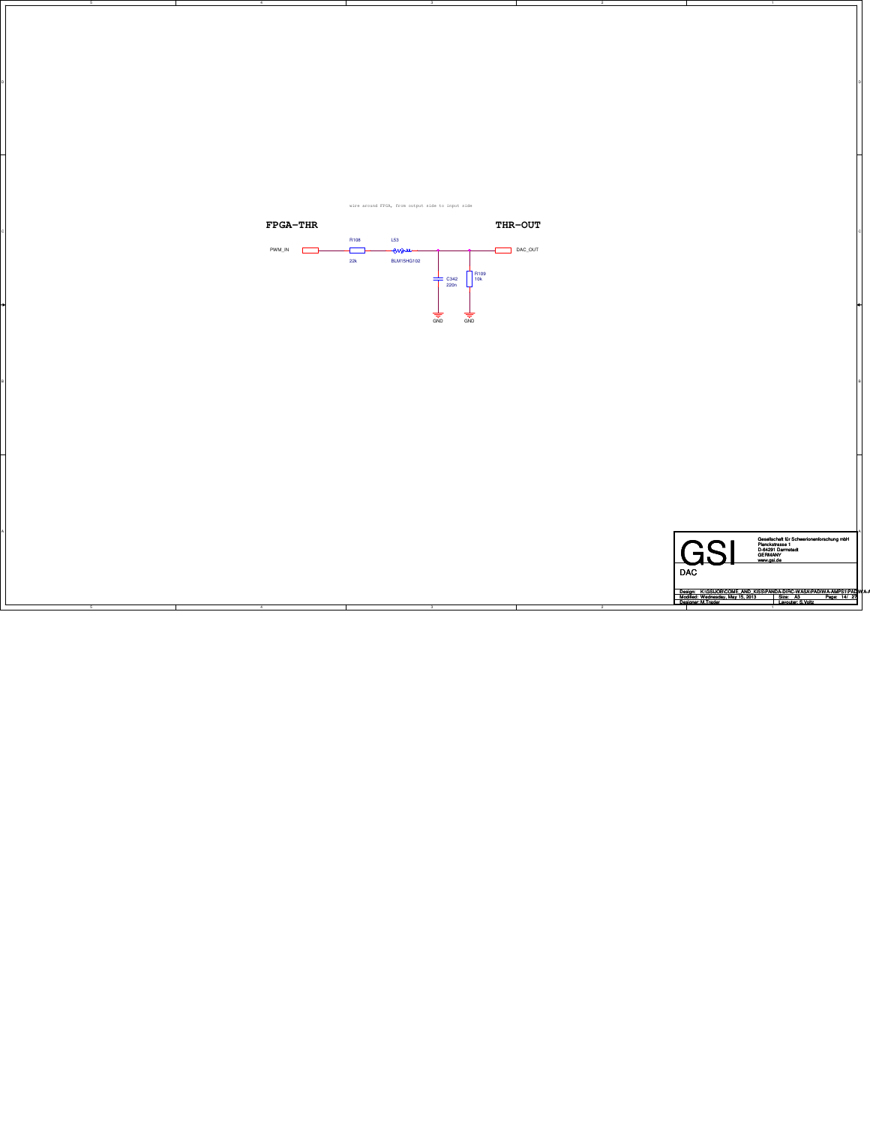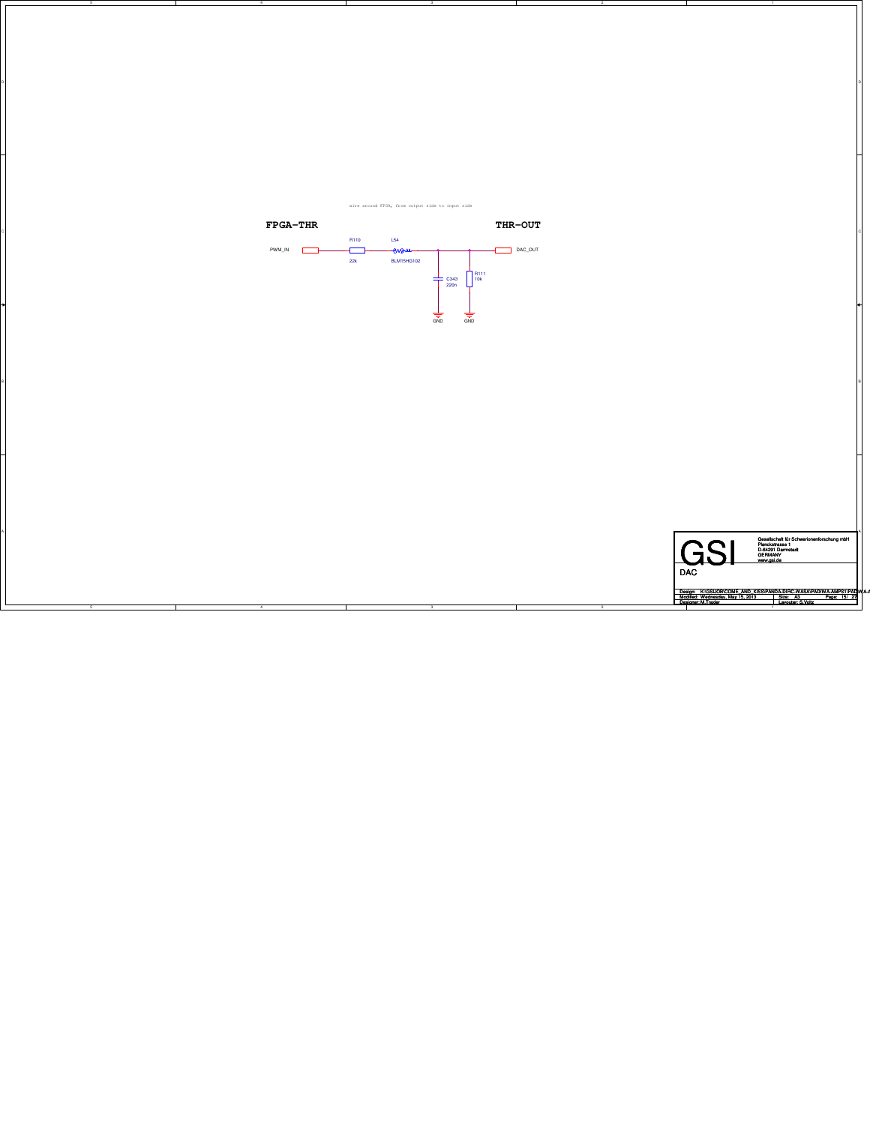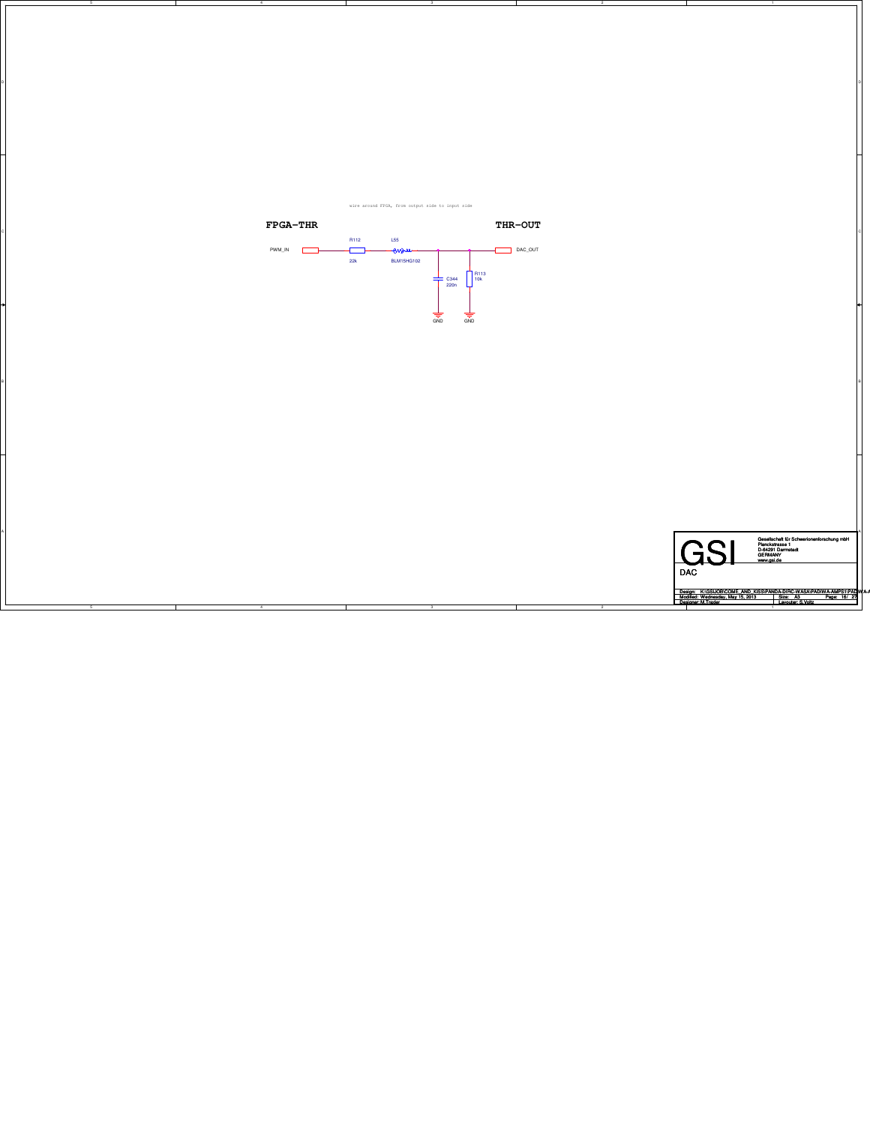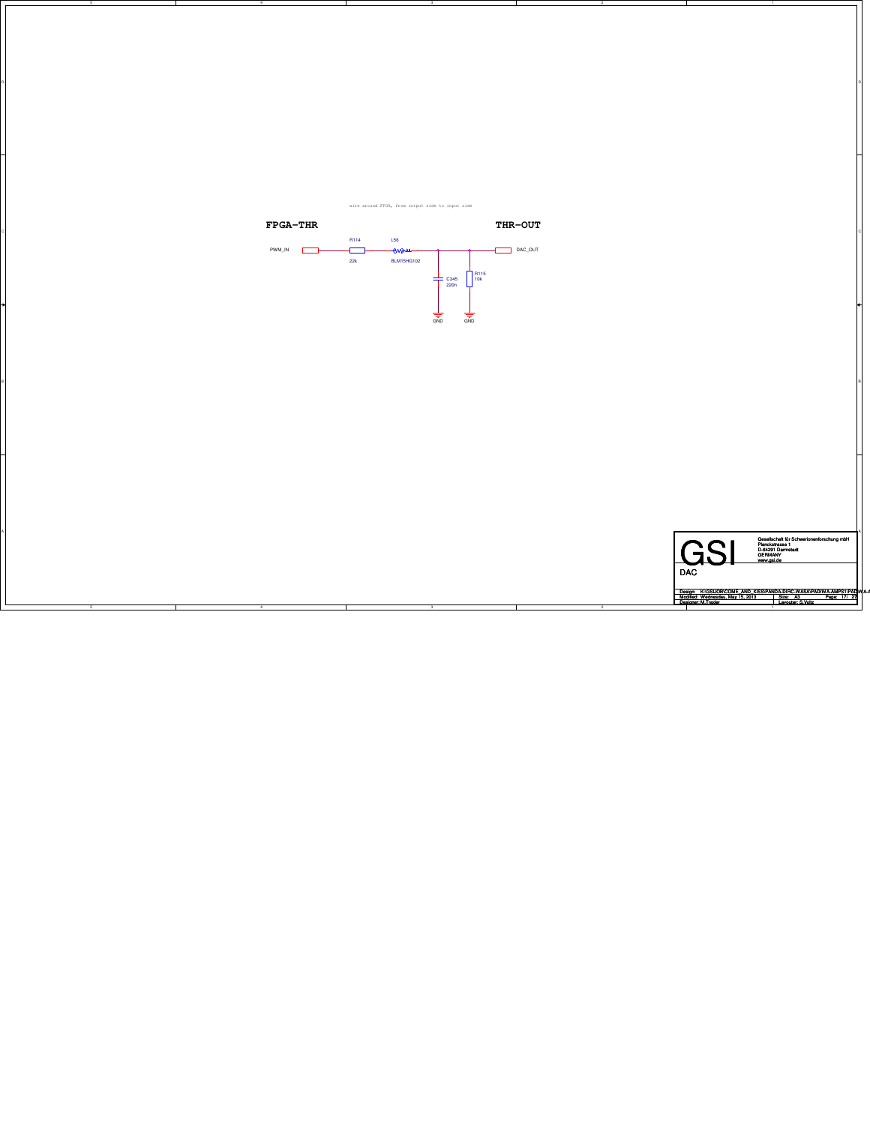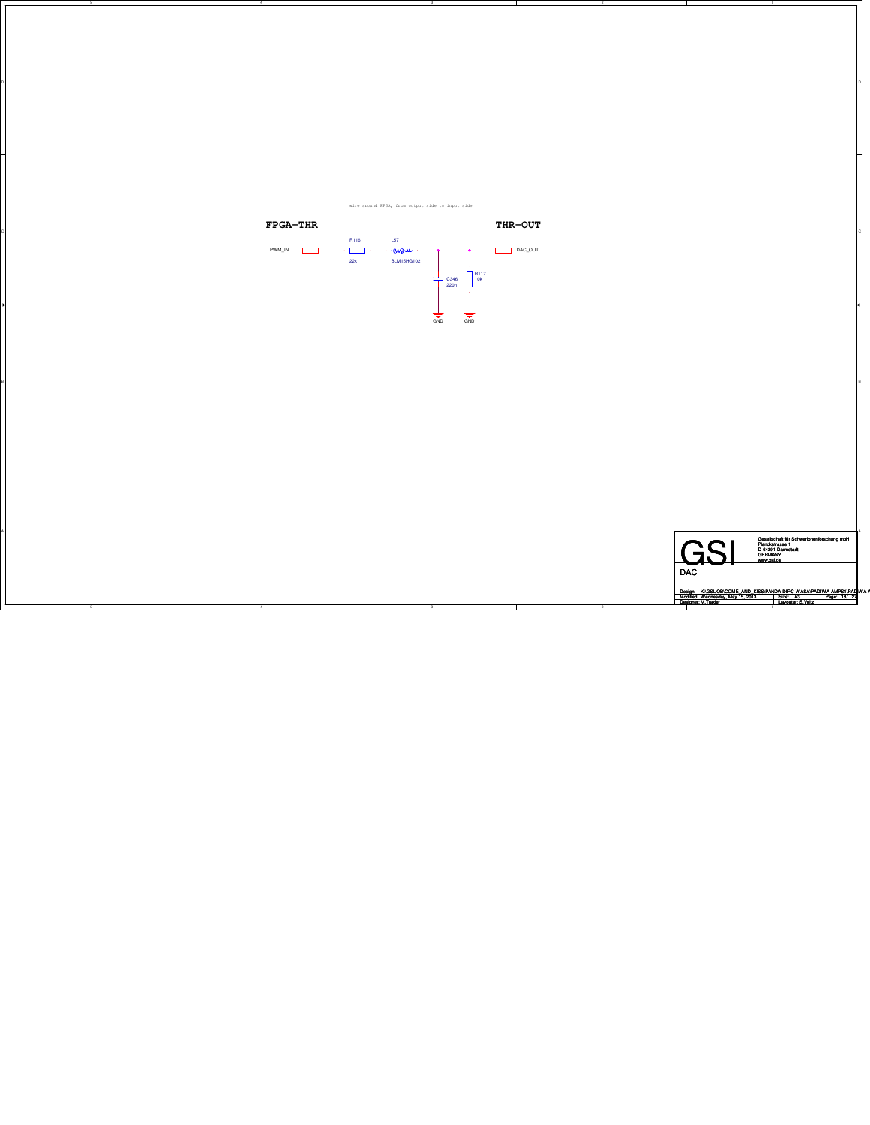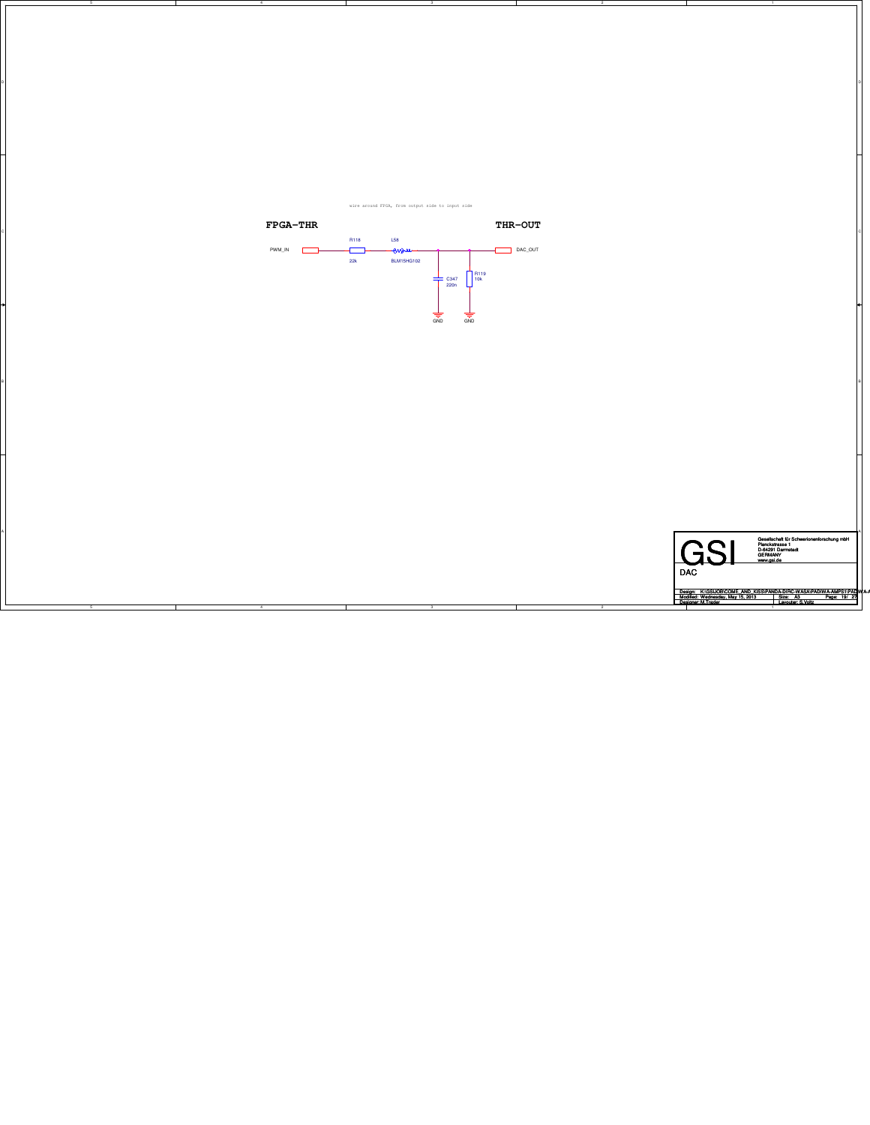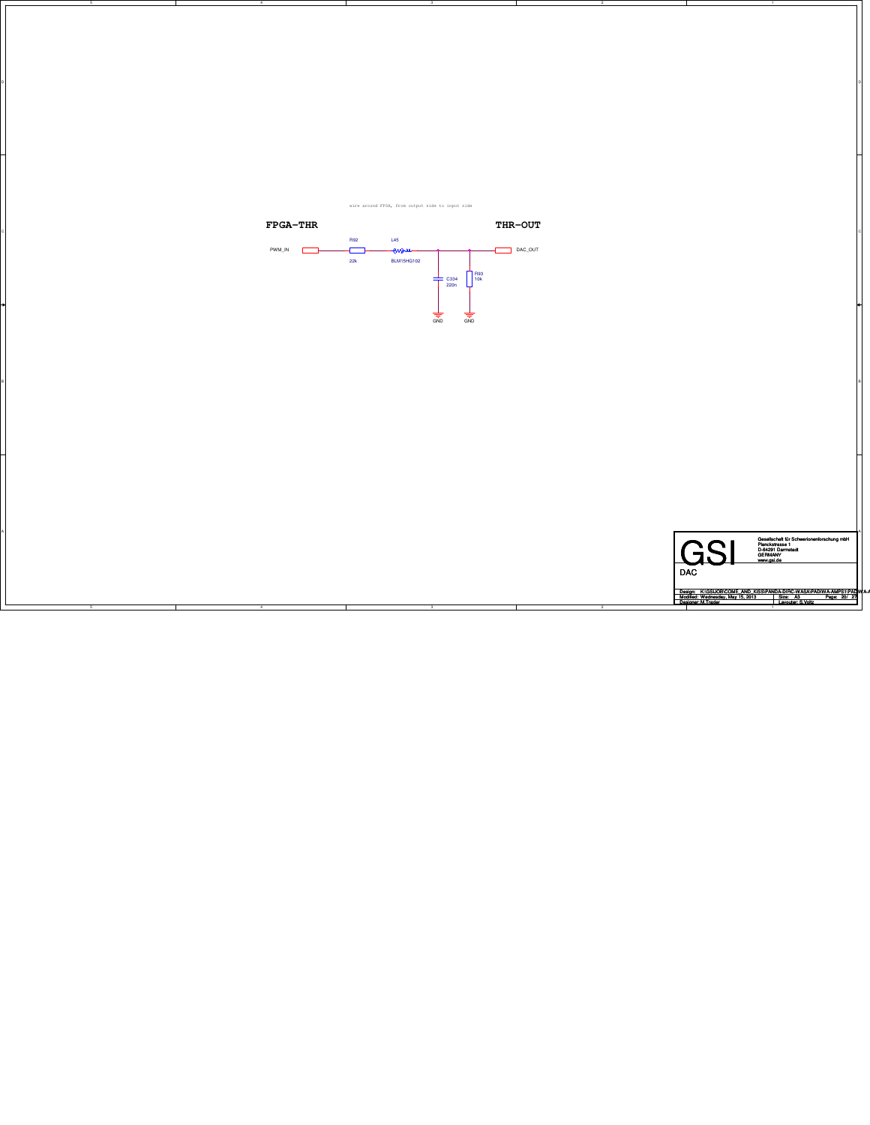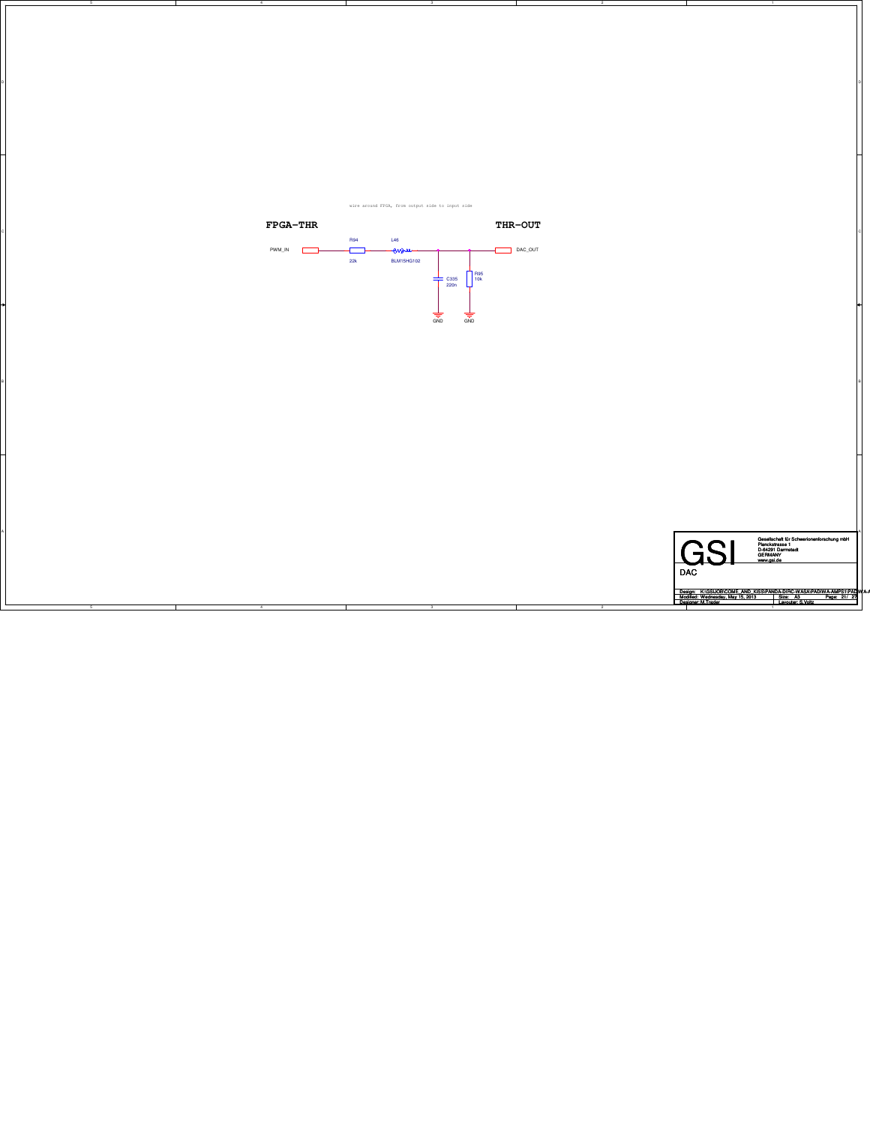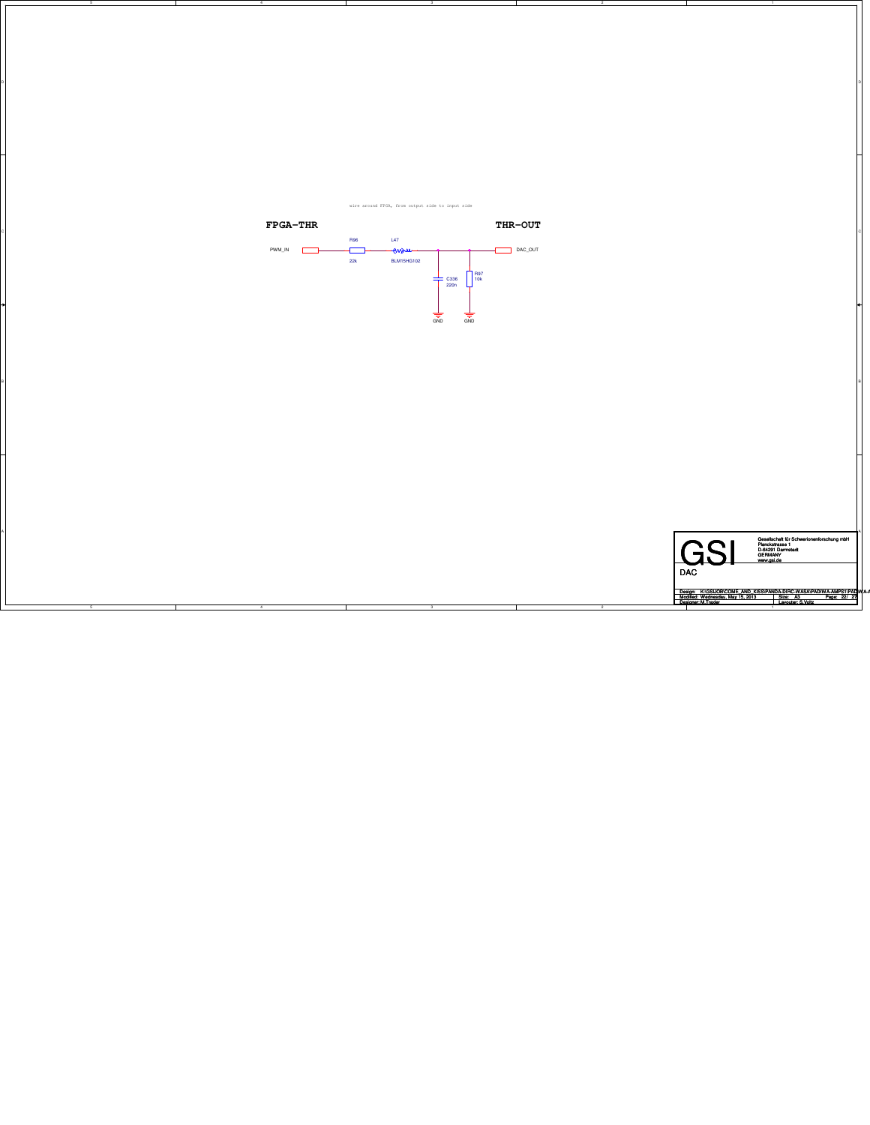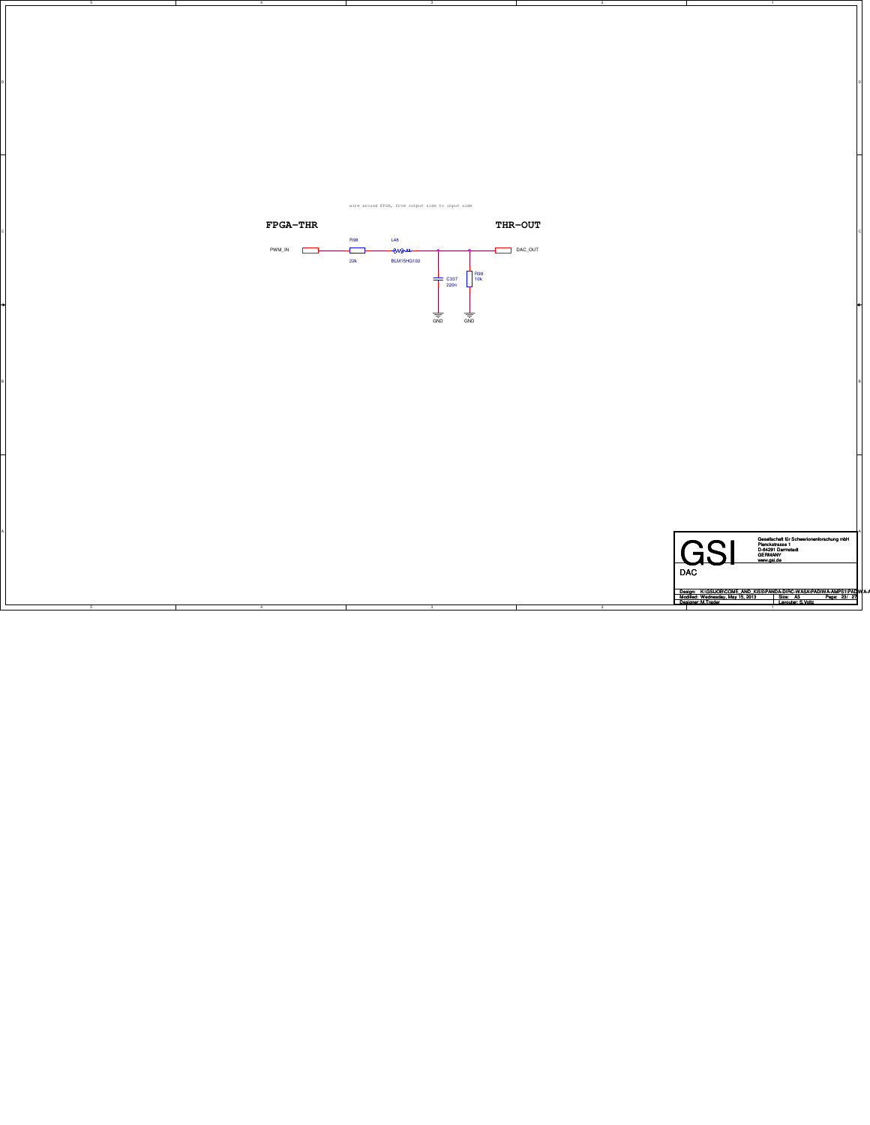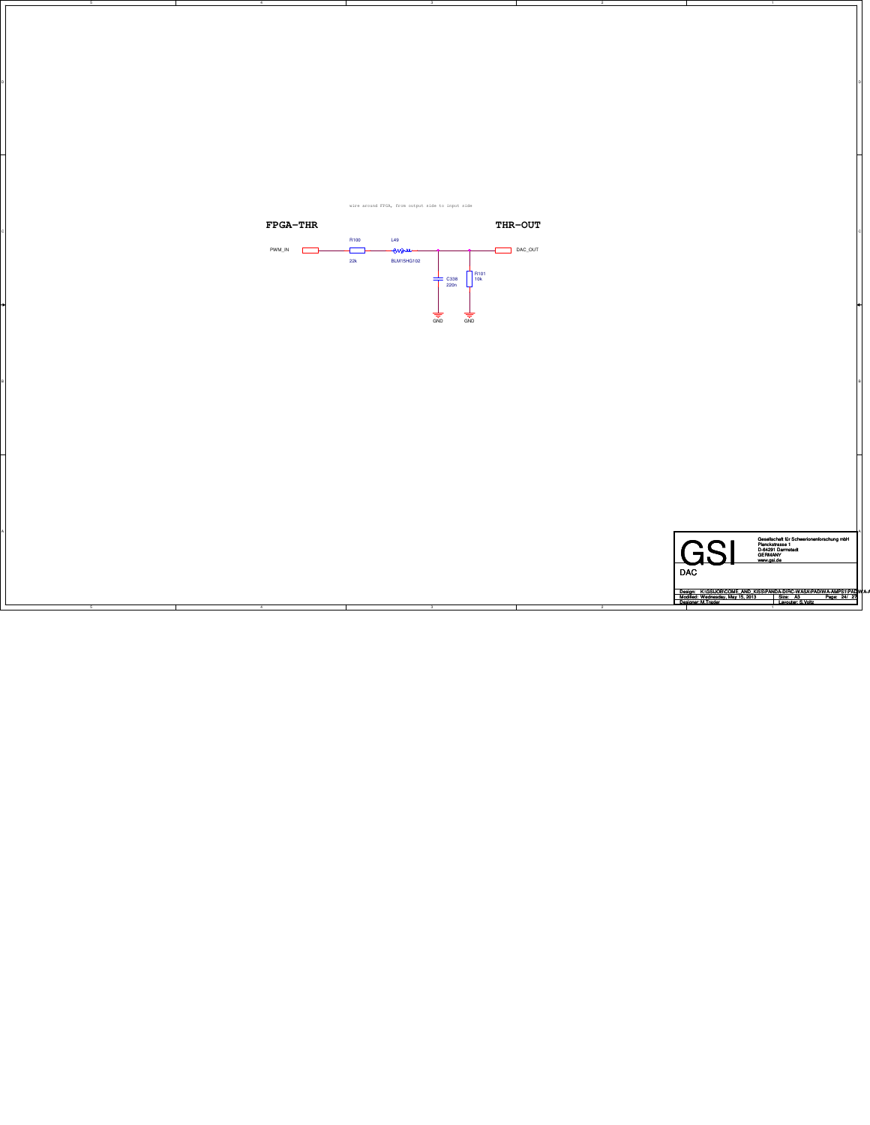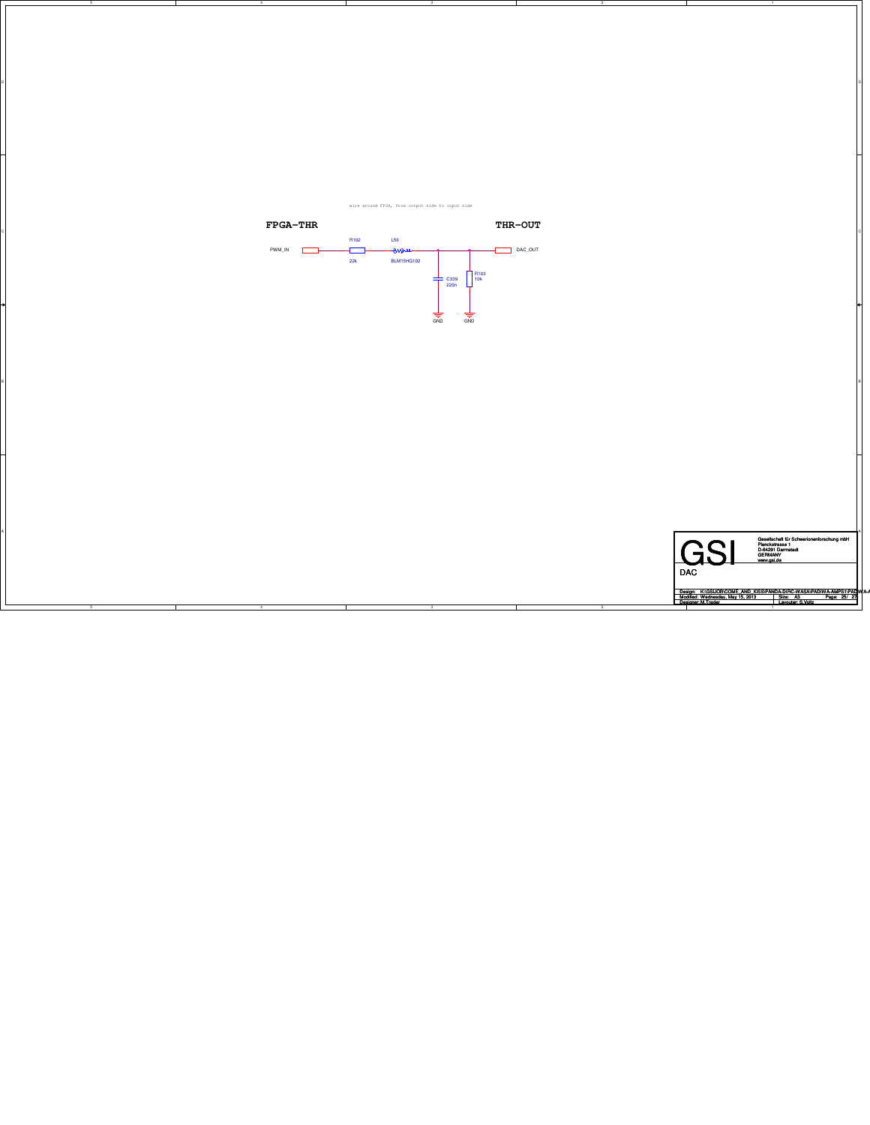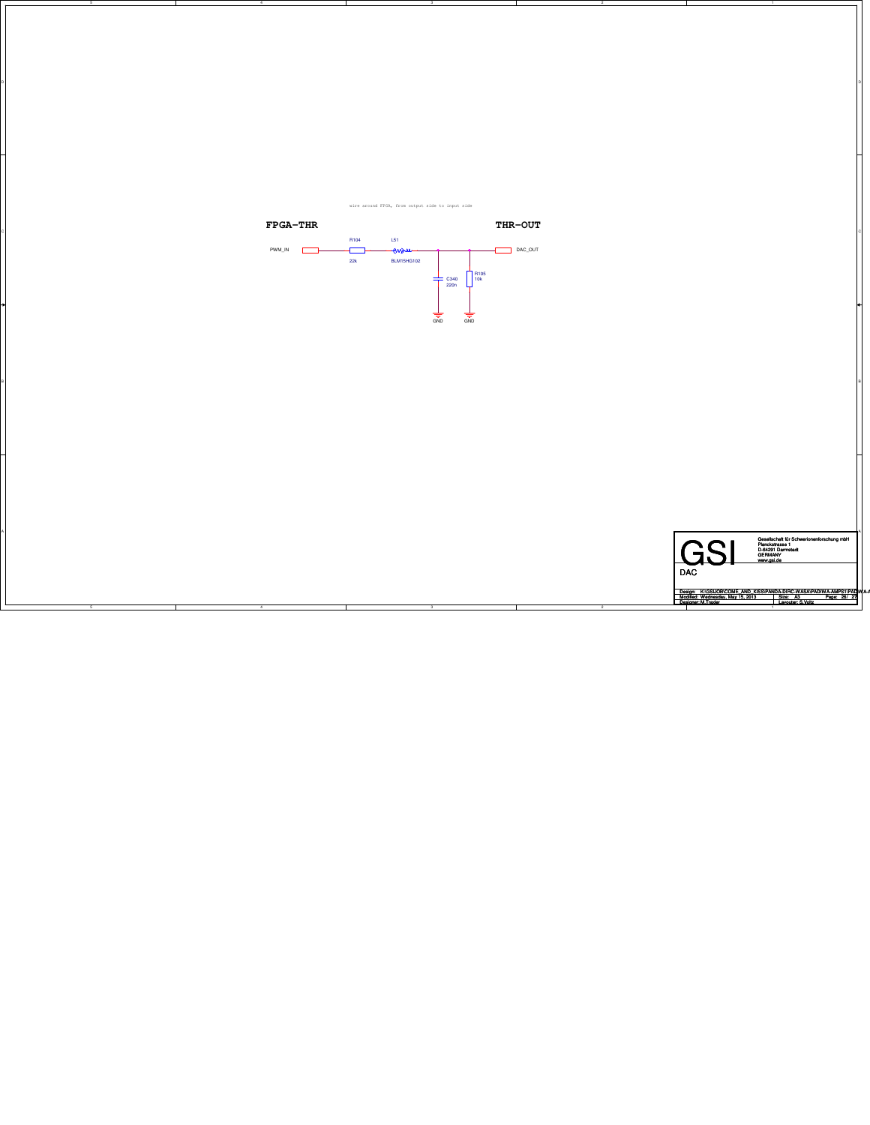